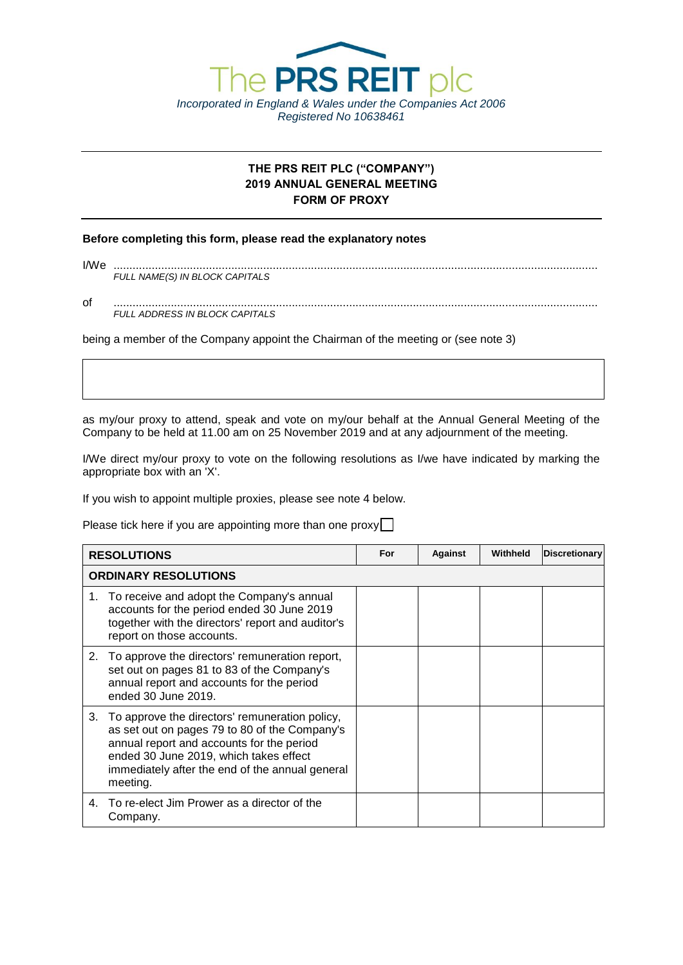

# **THE PRS REIT PLC ("COMPANY") 2019 ANNUAL GENERAL MEETING FORM OF PROXY**

### **Before completing this form, please read the explanatory notes**

| I/We |                                |
|------|--------------------------------|
|      | FULL NAME(S) IN BLOCK CAPITALS |
|      |                                |

of ........................................................................................................................................................ *FULL ADDRESS IN BLOCK CAPITALS*

being a member of the Company appoint the Chairman of the meeting or (see note 3)

as my/our proxy to attend, speak and vote on my/our behalf at the Annual General Meeting of the Company to be held at 11.00 am on 25 November 2019 and at any adjournment of the meeting.

I/We direct my/our proxy to vote on the following resolutions as I/we have indicated by marking the appropriate box with an 'X'.

If you wish to appoint multiple proxies, please see note 4 below.

Please tick here if you are appointing more than one proxy $\Box$ 

| <b>RESOLUTIONS</b>          |                                                                                                                                                                                                                                                          | For | Against | Withheld | Discretionary |
|-----------------------------|----------------------------------------------------------------------------------------------------------------------------------------------------------------------------------------------------------------------------------------------------------|-----|---------|----------|---------------|
| <b>ORDINARY RESOLUTIONS</b> |                                                                                                                                                                                                                                                          |     |         |          |               |
|                             | 1. To receive and adopt the Company's annual<br>accounts for the period ended 30 June 2019<br>together with the directors' report and auditor's<br>report on those accounts.                                                                             |     |         |          |               |
|                             | 2. To approve the directors' remuneration report,<br>set out on pages 81 to 83 of the Company's<br>annual report and accounts for the period<br>ended 30 June 2019.                                                                                      |     |         |          |               |
|                             | 3. To approve the directors' remuneration policy,<br>as set out on pages 79 to 80 of the Company's<br>annual report and accounts for the period<br>ended 30 June 2019, which takes effect<br>immediately after the end of the annual general<br>meeting. |     |         |          |               |
| 4.                          | To re-elect Jim Prower as a director of the<br>Company.                                                                                                                                                                                                  |     |         |          |               |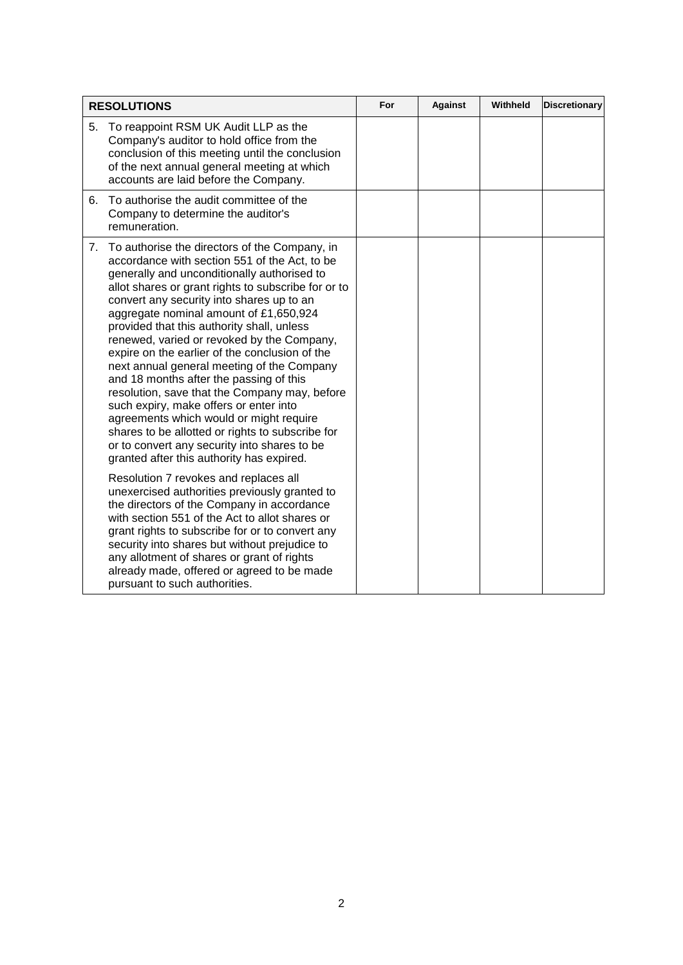| <b>RESOLUTIONS</b>                                                                                                                                                                                                                                                                                                                                                                                                                                                                                                                                                                                                                                                                                                                                                                                                                                                                                                                                                                                                                                                                                                                                                                                                                                      | For | <b>Against</b> | Withheld | <b>Discretionary</b> |
|---------------------------------------------------------------------------------------------------------------------------------------------------------------------------------------------------------------------------------------------------------------------------------------------------------------------------------------------------------------------------------------------------------------------------------------------------------------------------------------------------------------------------------------------------------------------------------------------------------------------------------------------------------------------------------------------------------------------------------------------------------------------------------------------------------------------------------------------------------------------------------------------------------------------------------------------------------------------------------------------------------------------------------------------------------------------------------------------------------------------------------------------------------------------------------------------------------------------------------------------------------|-----|----------------|----------|----------------------|
| 5.<br>To reappoint RSM UK Audit LLP as the<br>Company's auditor to hold office from the<br>conclusion of this meeting until the conclusion<br>of the next annual general meeting at which<br>accounts are laid before the Company.                                                                                                                                                                                                                                                                                                                                                                                                                                                                                                                                                                                                                                                                                                                                                                                                                                                                                                                                                                                                                      |     |                |          |                      |
| 6. To authorise the audit committee of the<br>Company to determine the auditor's<br>remuneration.                                                                                                                                                                                                                                                                                                                                                                                                                                                                                                                                                                                                                                                                                                                                                                                                                                                                                                                                                                                                                                                                                                                                                       |     |                |          |                      |
| 7. To authorise the directors of the Company, in<br>accordance with section 551 of the Act, to be<br>generally and unconditionally authorised to<br>allot shares or grant rights to subscribe for or to<br>convert any security into shares up to an<br>aggregate nominal amount of £1,650,924<br>provided that this authority shall, unless<br>renewed, varied or revoked by the Company,<br>expire on the earlier of the conclusion of the<br>next annual general meeting of the Company<br>and 18 months after the passing of this<br>resolution, save that the Company may, before<br>such expiry, make offers or enter into<br>agreements which would or might require<br>shares to be allotted or rights to subscribe for<br>or to convert any security into shares to be<br>granted after this authority has expired.<br>Resolution 7 revokes and replaces all<br>unexercised authorities previously granted to<br>the directors of the Company in accordance<br>with section 551 of the Act to allot shares or<br>grant rights to subscribe for or to convert any<br>security into shares but without prejudice to<br>any allotment of shares or grant of rights<br>already made, offered or agreed to be made<br>pursuant to such authorities. |     |                |          |                      |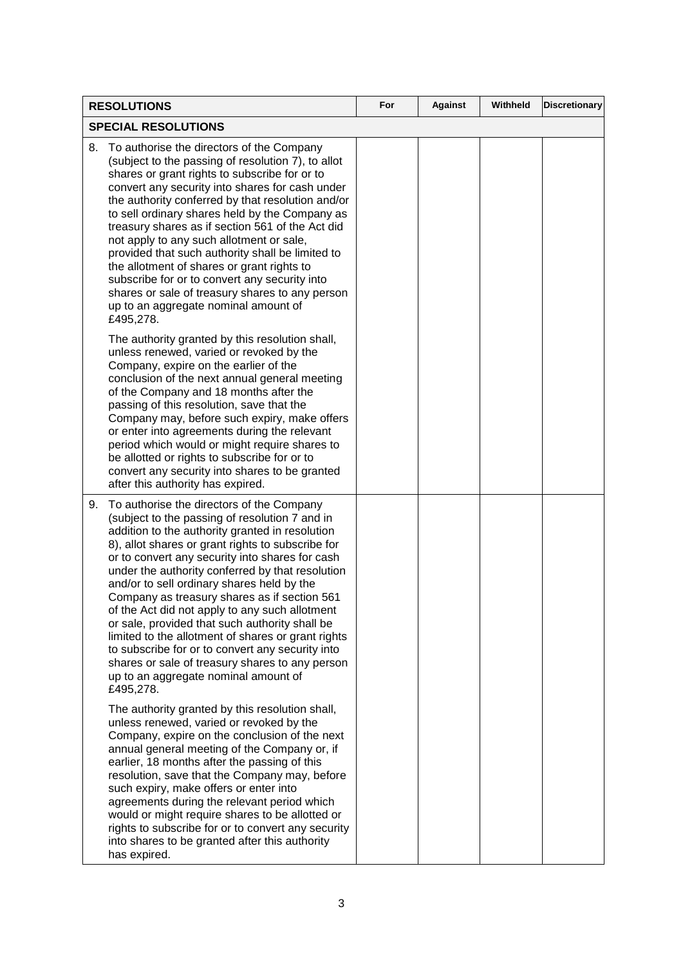| <b>RESOLUTIONS</b>                                                                                                                                                                                                                                                                                                                                                                                                                                                                                                                                                                                                                                                                                                                   | For | <b>Against</b> | Withheld | <b>Discretionary</b> |
|--------------------------------------------------------------------------------------------------------------------------------------------------------------------------------------------------------------------------------------------------------------------------------------------------------------------------------------------------------------------------------------------------------------------------------------------------------------------------------------------------------------------------------------------------------------------------------------------------------------------------------------------------------------------------------------------------------------------------------------|-----|----------------|----------|----------------------|
| <b>SPECIAL RESOLUTIONS</b>                                                                                                                                                                                                                                                                                                                                                                                                                                                                                                                                                                                                                                                                                                           |     |                |          |                      |
| To authorise the directors of the Company<br>8.<br>(subject to the passing of resolution 7), to allot<br>shares or grant rights to subscribe for or to<br>convert any security into shares for cash under<br>the authority conferred by that resolution and/or<br>to sell ordinary shares held by the Company as<br>treasury shares as if section 561 of the Act did<br>not apply to any such allotment or sale,<br>provided that such authority shall be limited to<br>the allotment of shares or grant rights to<br>subscribe for or to convert any security into<br>shares or sale of treasury shares to any person<br>up to an aggregate nominal amount of<br>£495,278.                                                          |     |                |          |                      |
| The authority granted by this resolution shall,<br>unless renewed, varied or revoked by the<br>Company, expire on the earlier of the<br>conclusion of the next annual general meeting<br>of the Company and 18 months after the<br>passing of this resolution, save that the<br>Company may, before such expiry, make offers<br>or enter into agreements during the relevant<br>period which would or might require shares to<br>be allotted or rights to subscribe for or to<br>convert any security into shares to be granted<br>after this authority has expired.                                                                                                                                                                 |     |                |          |                      |
| 9.<br>To authorise the directors of the Company<br>(subject to the passing of resolution 7 and in<br>addition to the authority granted in resolution<br>8), allot shares or grant rights to subscribe for<br>or to convert any security into shares for cash<br>under the authority conferred by that resolution<br>and/or to sell ordinary shares held by the<br>Company as treasury shares as if section 561<br>of the Act did not apply to any such allotment<br>or sale, provided that such authority shall be<br>limited to the allotment of shares or grant rights<br>to subscribe for or to convert any security into<br>shares or sale of treasury shares to any person<br>up to an aggregate nominal amount of<br>£495,278. |     |                |          |                      |
| The authority granted by this resolution shall,<br>unless renewed, varied or revoked by the<br>Company, expire on the conclusion of the next<br>annual general meeting of the Company or, if<br>earlier, 18 months after the passing of this<br>resolution, save that the Company may, before<br>such expiry, make offers or enter into<br>agreements during the relevant period which<br>would or might require shares to be allotted or<br>rights to subscribe for or to convert any security<br>into shares to be granted after this authority<br>has expired.                                                                                                                                                                    |     |                |          |                      |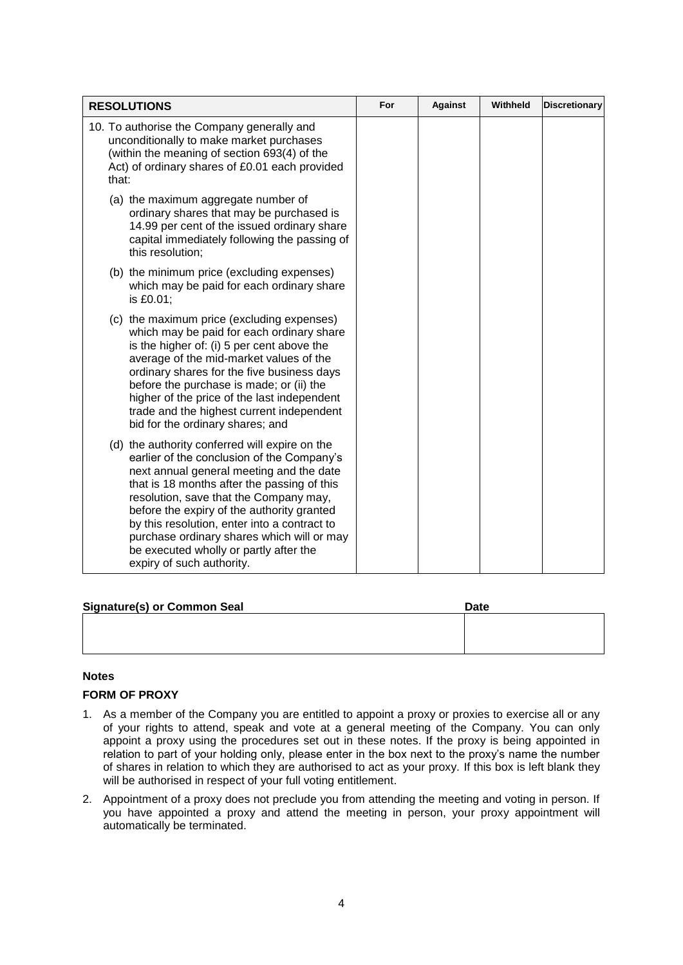| <b>RESOLUTIONS</b>                                                                                                                                                                                                                                                                                                                                                                                                                                   | For | <b>Against</b> | Withheld | <b>Discretionary</b> |
|------------------------------------------------------------------------------------------------------------------------------------------------------------------------------------------------------------------------------------------------------------------------------------------------------------------------------------------------------------------------------------------------------------------------------------------------------|-----|----------------|----------|----------------------|
| 10. To authorise the Company generally and<br>unconditionally to make market purchases<br>(within the meaning of section 693(4) of the<br>Act) of ordinary shares of £0.01 each provided<br>that:                                                                                                                                                                                                                                                    |     |                |          |                      |
| (a) the maximum aggregate number of<br>ordinary shares that may be purchased is<br>14.99 per cent of the issued ordinary share<br>capital immediately following the passing of<br>this resolution;                                                                                                                                                                                                                                                   |     |                |          |                      |
| (b) the minimum price (excluding expenses)<br>which may be paid for each ordinary share<br>is £0.01;                                                                                                                                                                                                                                                                                                                                                 |     |                |          |                      |
| (c) the maximum price (excluding expenses)<br>which may be paid for each ordinary share<br>is the higher of: (i) 5 per cent above the<br>average of the mid-market values of the<br>ordinary shares for the five business days<br>before the purchase is made; or (ii) the<br>higher of the price of the last independent<br>trade and the highest current independent<br>bid for the ordinary shares; and                                           |     |                |          |                      |
| (d) the authority conferred will expire on the<br>earlier of the conclusion of the Company's<br>next annual general meeting and the date<br>that is 18 months after the passing of this<br>resolution, save that the Company may,<br>before the expiry of the authority granted<br>by this resolution, enter into a contract to<br>purchase ordinary shares which will or may<br>be executed wholly or partly after the<br>expiry of such authority. |     |                |          |                      |

| <b>Signature(s) or Common Seal</b> | <b>Date</b> |
|------------------------------------|-------------|
|                                    |             |
|                                    |             |
|                                    |             |

# **Notes**

## **FORM OF PROXY**

- 1. As a member of the Company you are entitled to appoint a proxy or proxies to exercise all or any of your rights to attend, speak and vote at a general meeting of the Company. You can only appoint a proxy using the procedures set out in these notes. If the proxy is being appointed in relation to part of your holding only, please enter in the box next to the proxy's name the number of shares in relation to which they are authorised to act as your proxy. If this box is left blank they will be authorised in respect of your full voting entitlement.
- 2. Appointment of a proxy does not preclude you from attending the meeting and voting in person. If you have appointed a proxy and attend the meeting in person, your proxy appointment will automatically be terminated.